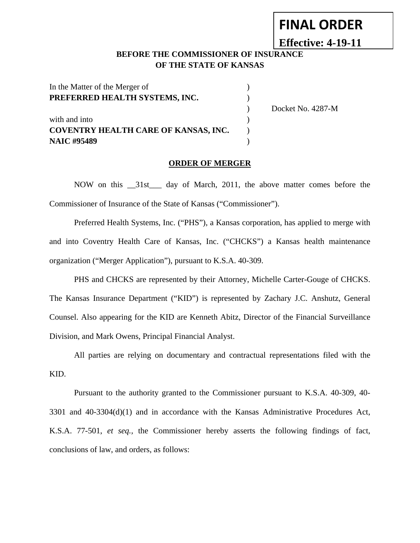# **FINAL ORDER**

# **Effective: 4-19-11**

### **BEFORE THE COMMISSIONER OF INSURANCE OF THE STATE OF KANSAS**

| In the Matter of the Merger of              |                   |
|---------------------------------------------|-------------------|
| PREFERRED HEALTH SYSTEMS, INC.              |                   |
|                                             | Docket No. 4287-M |
| with and into                               |                   |
| <b>COVENTRY HEALTH CARE OF KANSAS, INC.</b> |                   |
| <b>NAIC #95489</b>                          |                   |

#### **ORDER OF MERGER**

NOW on this \_\_31st\_\_\_ day of March, 2011, the above matter comes before the Commissioner of Insurance of the State of Kansas ("Commissioner").

Preferred Health Systems, Inc. ("PHS"), a Kansas corporation, has applied to merge with and into Coventry Health Care of Kansas, Inc. ("CHCKS") a Kansas health maintenance organization ("Merger Application"), pursuant to K.S.A. 40-309.

PHS and CHCKS are represented by their Attorney, Michelle Carter-Gouge of CHCKS. The Kansas Insurance Department ("KID") is represented by Zachary J.C. Anshutz, General Counsel. Also appearing for the KID are Kenneth Abitz, Director of the Financial Surveillance Division, and Mark Owens, Principal Financial Analyst.

All parties are relying on documentary and contractual representations filed with the KID.

Pursuant to the authority granted to the Commissioner pursuant to K.S.A. 40-309, 40- 3301 and 40-3304(d)(1) and in accordance with the Kansas Administrative Procedures Act, K.S.A. 77-501, *et seq.,* the Commissioner hereby asserts the following findings of fact, conclusions of law, and orders, as follows: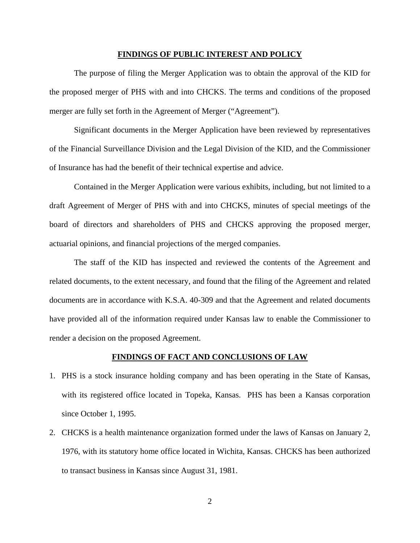#### **FINDINGS OF PUBLIC INTEREST AND POLICY**

The purpose of filing the Merger Application was to obtain the approval of the KID for the proposed merger of PHS with and into CHCKS. The terms and conditions of the proposed merger are fully set forth in the Agreement of Merger ("Agreement").

Significant documents in the Merger Application have been reviewed by representatives of the Financial Surveillance Division and the Legal Division of the KID, and the Commissioner of Insurance has had the benefit of their technical expertise and advice.

Contained in the Merger Application were various exhibits, including, but not limited to a draft Agreement of Merger of PHS with and into CHCKS, minutes of special meetings of the board of directors and shareholders of PHS and CHCKS approving the proposed merger, actuarial opinions, and financial projections of the merged companies.

The staff of the KID has inspected and reviewed the contents of the Agreement and related documents, to the extent necessary, and found that the filing of the Agreement and related documents are in accordance with K.S.A. 40-309 and that the Agreement and related documents have provided all of the information required under Kansas law to enable the Commissioner to render a decision on the proposed Agreement.

#### **FINDINGS OF FACT AND CONCLUSIONS OF LAW**

- 1. PHS is a stock insurance holding company and has been operating in the State of Kansas, with its registered office located in Topeka, Kansas. PHS has been a Kansas corporation since October 1, 1995.
- 2. CHCKS is a health maintenance organization formed under the laws of Kansas on January 2, 1976, with its statutory home office located in Wichita, Kansas. CHCKS has been authorized to transact business in Kansas since August 31, 1981.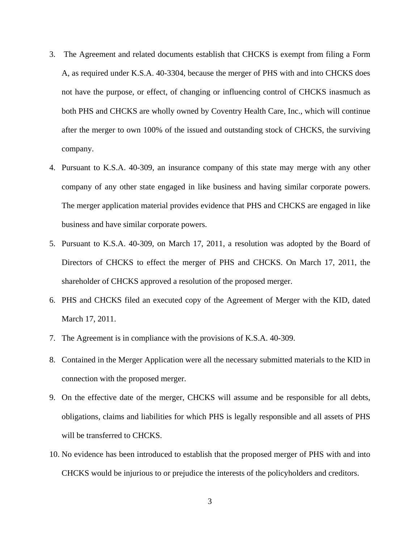- 3. The Agreement and related documents establish that CHCKS is exempt from filing a Form A, as required under K.S.A. 40-3304, because the merger of PHS with and into CHCKS does not have the purpose, or effect, of changing or influencing control of CHCKS inasmuch as both PHS and CHCKS are wholly owned by Coventry Health Care, Inc., which will continue after the merger to own 100% of the issued and outstanding stock of CHCKS, the surviving company.
- 4. Pursuant to K.S.A. 40-309, an insurance company of this state may merge with any other company of any other state engaged in like business and having similar corporate powers. The merger application material provides evidence that PHS and CHCKS are engaged in like business and have similar corporate powers.
- 5. Pursuant to K.S.A. 40-309, on March 17, 2011, a resolution was adopted by the Board of Directors of CHCKS to effect the merger of PHS and CHCKS. On March 17, 2011, the shareholder of CHCKS approved a resolution of the proposed merger.
- 6. PHS and CHCKS filed an executed copy of the Agreement of Merger with the KID, dated March 17, 2011.
- 7. The Agreement is in compliance with the provisions of K.S.A. 40-309.
- 8. Contained in the Merger Application were all the necessary submitted materials to the KID in connection with the proposed merger.
- 9. On the effective date of the merger, CHCKS will assume and be responsible for all debts, obligations, claims and liabilities for which PHS is legally responsible and all assets of PHS will be transferred to CHCKS.
- 10. No evidence has been introduced to establish that the proposed merger of PHS with and into CHCKS would be injurious to or prejudice the interests of the policyholders and creditors.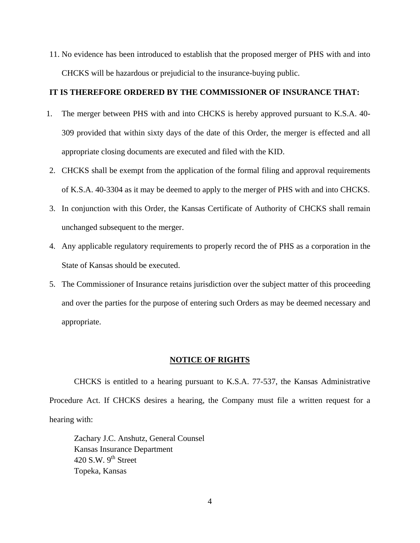11. No evidence has been introduced to establish that the proposed merger of PHS with and into CHCKS will be hazardous or prejudicial to the insurance-buying public.

#### **IT IS THEREFORE ORDERED BY THE COMMISSIONER OF INSURANCE THAT:**

- 1. The merger between PHS with and into CHCKS is hereby approved pursuant to K.S.A. 40- 309 provided that within sixty days of the date of this Order, the merger is effected and all appropriate closing documents are executed and filed with the KID.
- 2. CHCKS shall be exempt from the application of the formal filing and approval requirements of K.S.A. 40-3304 as it may be deemed to apply to the merger of PHS with and into CHCKS.
- 3. In conjunction with this Order, the Kansas Certificate of Authority of CHCKS shall remain unchanged subsequent to the merger.
- 4. Any applicable regulatory requirements to properly record the of PHS as a corporation in the State of Kansas should be executed.
- 5. The Commissioner of Insurance retains jurisdiction over the subject matter of this proceeding and over the parties for the purpose of entering such Orders as may be deemed necessary and appropriate.

#### **NOTICE OF RIGHTS**

CHCKS is entitled to a hearing pursuant to K.S.A. 77-537, the Kansas Administrative Procedure Act. If CHCKS desires a hearing, the Company must file a written request for a hearing with:

Zachary J.C. Anshutz, General Counsel Kansas Insurance Department 420 S.W.  $9^{th}$  Street Topeka, Kansas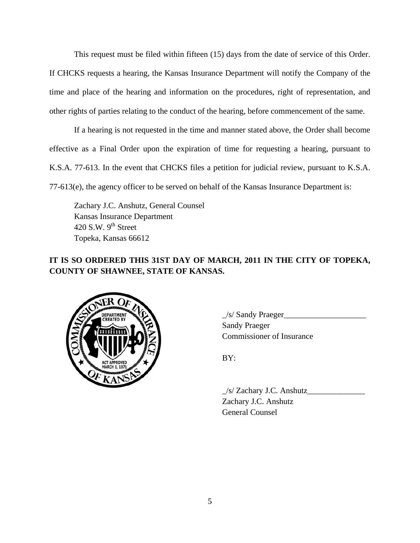This request must be filed within fifteen (15) days from the date of service of this Order. If CHCKS requests a hearing, the Kansas Insurance Department will notify the Company of the time and place of the hearing and information on the procedures, right of representation, and other rights of parties relating to the conduct of the hearing, before commencement of the same.

If a hearing is not requested in the time and manner stated above, the Order shall become effective as a Final Order upon the expiration of time for requesting a hearing, pursuant to K.S.A. 77-613. In the event that CHCKS files a petition for judicial review, pursuant to K.S.A. 77-613(e), the agency officer to be served on behalf of the Kansas Insurance Department is:

Zachary J.C. Anshutz, General Counsel Kansas Insurance Department 420 S.W.  $9<sup>th</sup>$  Street Topeka, Kansas 66612

## **IT IS SO ORDERED THIS 31ST DAY OF MARCH, 2011 IN THE CITY OF TOPEKA, COUNTY OF SHAWNEE, STATE OF KANSAS.**



 $\angle$ s/ Sandy Praeger $\angle$ Sandy Praeger Commissioner of Insurance

 $\angle$ s/ Zachary J.C. Anshutz $\angle$  Zachary J.C. Anshutz General Counsel